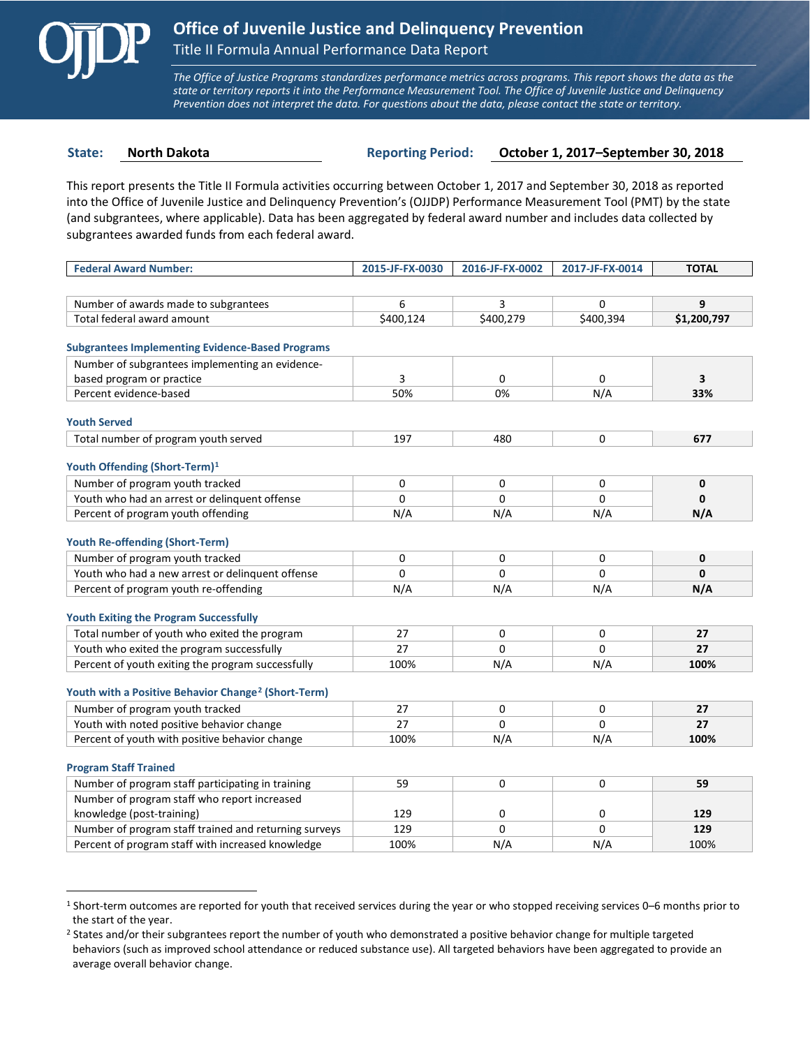

 $\overline{a}$ 

*The Office of Justice Programs standardizes performance metrics across programs. This report shows the data as the state or territory reports it into the Performance Measurement Tool. The Office of Juvenile Justice and Delinquency Prevention does not interpret the data. For questions about the data, please contact the state or territory.*

**State: North Dakota Reporting Period: October 1, 2017–September 30, 2018**

This report presents the Title II Formula activities occurring between October 1, 2017 and September 30, 2018 as reported into the Office of Juvenile Justice and Delinquency Prevention's (OJJDP) Performance Measurement Tool (PMT) by the state (and subgrantees, where applicable). Data has been aggregated by federal award number and includes data collected by subgrantees awarded funds from each federal award.

| <b>Federal Award Number:</b>                                    | 2015-JF-FX-0030 | 2016-JF-FX-0002 | 2017-JF-FX-0014 | <b>TOTAL</b> |
|-----------------------------------------------------------------|-----------------|-----------------|-----------------|--------------|
|                                                                 |                 |                 |                 |              |
| Number of awards made to subgrantees                            | 6               | 3               | $\mathbf 0$     | 9            |
| Total federal award amount                                      | \$400,124       | \$400,279       | \$400,394       | \$1,200,797  |
|                                                                 |                 |                 |                 |              |
| <b>Subgrantees Implementing Evidence-Based Programs</b>         |                 |                 |                 |              |
| Number of subgrantees implementing an evidence-                 |                 |                 |                 |              |
| based program or practice                                       | 3               | 0               | 0               | 3            |
| Percent evidence-based                                          | 50%             | 0%              | N/A             | 33%          |
| <b>Youth Served</b>                                             |                 |                 |                 |              |
| Total number of program youth served                            | 197             | 480             | 0               | 677          |
|                                                                 |                 |                 |                 |              |
| Youth Offending (Short-Term) <sup>1</sup>                       |                 |                 |                 |              |
| Number of program youth tracked                                 | 0               | 0               | 0               | 0            |
| Youth who had an arrest or delinquent offense                   | $\Omega$        | $\Omega$        | 0               | $\mathbf{0}$ |
| Percent of program youth offending                              | N/A             | N/A             | N/A             | N/A          |
|                                                                 |                 |                 |                 |              |
| <b>Youth Re-offending (Short-Term)</b>                          | 0               | 0               | 0               | $\mathbf{0}$ |
| Number of program youth tracked                                 |                 |                 |                 |              |
| Youth who had a new arrest or delinguent offense                | 0               | 0               | 0               | 0            |
| Percent of program youth re-offending                           | N/A             | N/A             | N/A             | N/A          |
| <b>Youth Exiting the Program Successfully</b>                   |                 |                 |                 |              |
| Total number of youth who exited the program                    | 27              | 0               | 0               | 27           |
| Youth who exited the program successfully                       | 27              | $\Omega$        | 0               | 27           |
| Percent of youth exiting the program successfully               | 100%            | N/A             | N/A             | 100%         |
|                                                                 |                 |                 |                 |              |
| Youth with a Positive Behavior Change <sup>2</sup> (Short-Term) |                 |                 |                 |              |
| Number of program youth tracked                                 | 27              | 0               | 0               | 27           |
| Youth with noted positive behavior change                       | 27              | $\Omega$        | $\Omega$        | 27           |
| Percent of youth with positive behavior change                  | 100%            | N/A             | N/A             | 100%         |
|                                                                 |                 |                 |                 |              |
| <b>Program Staff Trained</b>                                    |                 |                 |                 |              |
| Number of program staff participating in training               | 59              | 0               | 0               | 59           |
| Number of program staff who report increased                    |                 |                 |                 |              |
| knowledge (post-training)                                       | 129             | 0               | 0               | 129          |
| Number of program staff trained and returning surveys           | 129             | $\Omega$        | 0               | 129          |
| Percent of program staff with increased knowledge               | 100%            | N/A             | N/A             | 100%         |

<span id="page-0-0"></span><sup>1</sup> Short-term outcomes are reported for youth that received services during the year or who stopped receiving services 0–6 months prior to the start of the year.

<span id="page-0-1"></span><sup>&</sup>lt;sup>2</sup> States and/or their subgrantees report the number of youth who demonstrated a positive behavior change for multiple targeted behaviors (such as improved school attendance or reduced substance use). All targeted behaviors have been aggregated to provide an average overall behavior change.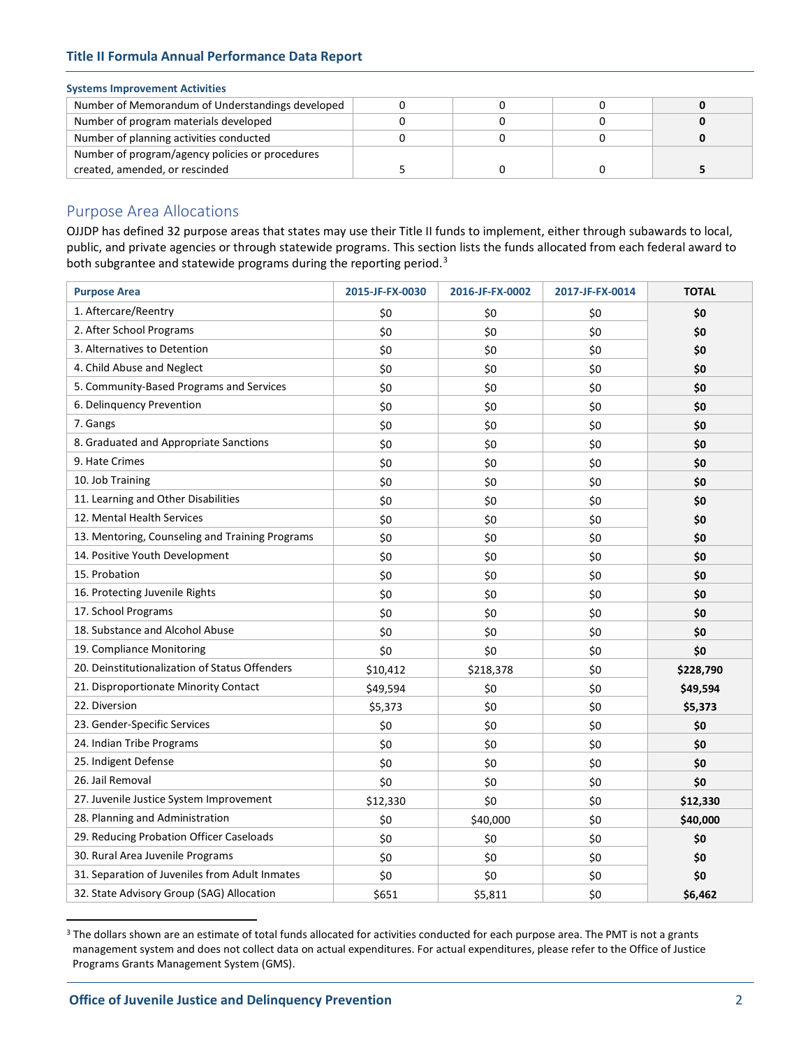### **Title II Formula Annual Performance Data Report**

#### **Systems Improvement Activities**

| Number of Memorandum of Understandings developed |  |  |
|--------------------------------------------------|--|--|
| Number of program materials developed            |  |  |
| Number of planning activities conducted          |  |  |
| Number of program/agency policies or procedures  |  |  |
| created, amended, or rescinded                   |  |  |

# Purpose Area Allocations

OJJDP has defined 32 purpose areas that states may use their Title II funds to implement, either through subawards to local, public, and private agencies or through statewide programs. This section lists the funds allocated from each federal award to both subgrantee and statewide programs during the reporting period.<sup>[3](#page-1-0)</sup>

| <b>Purpose Area</b>                             | 2015-JF-FX-0030 | 2016-JF-FX-0002 | 2017-JF-FX-0014 | <b>TOTAL</b> |
|-------------------------------------------------|-----------------|-----------------|-----------------|--------------|
| 1. Aftercare/Reentry                            | \$0             | \$0             | \$0             | \$0          |
| 2. After School Programs                        | \$0             | \$0             | \$0             | \$0          |
| 3. Alternatives to Detention                    | \$0             | \$0             | \$0             | \$0          |
| 4. Child Abuse and Neglect                      | \$0             | \$0             | \$0             | \$0          |
| 5. Community-Based Programs and Services        | \$0             | \$0             | \$0             | \$0          |
| 6. Delinquency Prevention                       | \$0             | \$0             | \$0             | \$0          |
| 7. Gangs                                        | \$0             | \$0             | \$0             | \$0          |
| 8. Graduated and Appropriate Sanctions          | \$0             | \$0             | \$0             | \$0          |
| 9. Hate Crimes                                  | \$0             | \$0             | \$0             | \$0          |
| 10. Job Training                                | \$0             | \$0             | \$0             | \$0          |
| 11. Learning and Other Disabilities             | \$0             | \$0             | \$0             | \$0          |
| 12. Mental Health Services                      | \$0             | \$0             | \$0             | \$0          |
| 13. Mentoring, Counseling and Training Programs | \$0             | \$0             | \$0             | \$0          |
| 14. Positive Youth Development                  | \$0             | \$0             | \$0             | \$0          |
| 15. Probation                                   | \$0             | \$0             | \$0             | \$0          |
| 16. Protecting Juvenile Rights                  | \$0             | \$0             | \$0             | \$0          |
| 17. School Programs                             | \$0             | \$0             | \$0             | \$0          |
| 18. Substance and Alcohol Abuse                 | \$0             | \$0             | \$0             | \$0          |
| 19. Compliance Monitoring                       | \$0             | \$0             | \$0             | \$0          |
| 20. Deinstitutionalization of Status Offenders  | \$10,412        | \$218,378       | \$0             | \$228,790    |
| 21. Disproportionate Minority Contact           | \$49,594        | \$0             | \$0             | \$49,594     |
| 22. Diversion                                   | \$5,373         | \$0             | \$0             | \$5,373      |
| 23. Gender-Specific Services                    | \$0             | \$0             | \$0             | \$0          |
| 24. Indian Tribe Programs                       | \$0             | \$0             | \$0             | \$0          |
| 25. Indigent Defense                            | \$0             | \$0             | \$0             | \$0          |
| 26. Jail Removal                                | \$0             | \$0             | \$0             | \$0          |
| 27. Juvenile Justice System Improvement         | \$12,330        | \$0             | \$0             | \$12,330     |
| 28. Planning and Administration                 | \$0             | \$40,000        | \$0             | \$40,000     |
| 29. Reducing Probation Officer Caseloads        | \$0             | \$0             | \$0             | \$0          |
| 30. Rural Area Juvenile Programs                | \$0             | \$0             | \$0             | \$0          |
| 31. Separation of Juveniles from Adult Inmates  | \$0             | \$0             | \$0             | \$0          |
| 32. State Advisory Group (SAG) Allocation       | \$651           | \$5,811         | \$0             | \$6,462      |

<span id="page-1-0"></span><sup>&</sup>lt;sup>3</sup> The dollars shown are an estimate of total funds allocated for activities conducted for each purpose area. The PMT is not a grants management system and does not collect data on actual expenditures. For actual expenditures, please refer to the Office of Justice Programs Grants Management System (GMS).

 $\overline{a}$